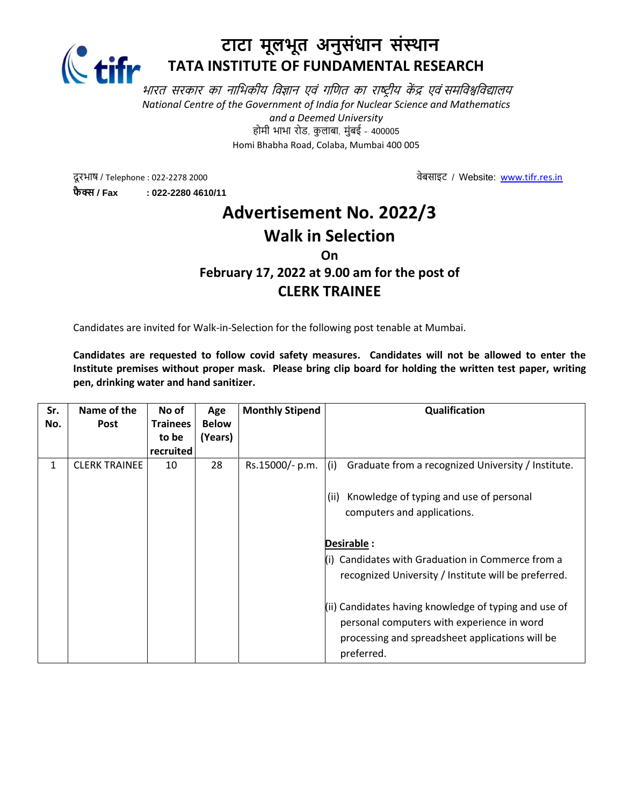

## **टाटा मूलभूत अनुसंधान संस्थान TATA INSTITUTE OF FUNDAMENTAL RESEARCH**

भारत सरकार का नाभिकीय विज्ञान एवं गणित का राष्ट्रीय केंद्र एवं समविश्वविद्यालय *National Centre of the Government of India for Nuclear Science and Mathematics and a Deemed University* होमी भाभा रोड, कु लाबा, मुंबई – 400005 Homi Bhabha Road, Colaba, Mumbai 400 005

दू रभाष / Telephone : 022-2278 2000िेबसाइट् / Website: [www.tifr.res.in](http://www.tifr.res.in/) **फै क्स / Fax : 022-2280 4610/11**

# **Advertisement No. 2022/3 Walk in Selection**

#### **On**

### **February 17, 2022 at 9.00 am for the post of CLERK TRAINEE**

Candidates are invited for Walk-in-Selection for the following post tenable at Mumbai.

**Candidates are requested to follow covid safety measures. Candidates will not be allowed to enter the Institute premises without proper mask. Please bring clip board for holding the written test paper, writing pen, drinking water and hand sanitizer.**

| Sr. | Name of the          | No of           | Age          | <b>Monthly Stipend</b> | Qualification                                             |
|-----|----------------------|-----------------|--------------|------------------------|-----------------------------------------------------------|
| No. | <b>Post</b>          | <b>Trainees</b> | <b>Below</b> |                        |                                                           |
|     |                      | to be           | (Years)      |                        |                                                           |
|     |                      | recruited       |              |                        |                                                           |
| 1   | <b>CLERK TRAINEE</b> | 10              | 28           | Rs.15000/- p.m.        | (i)<br>Graduate from a recognized University / Institute. |
|     |                      |                 |              |                        | Knowledge of typing and use of personal<br>(ii)           |
|     |                      |                 |              |                        | computers and applications.                               |
|     |                      |                 |              |                        |                                                           |
|     |                      |                 |              |                        | Desirable :                                               |
|     |                      |                 |              |                        | (i) Candidates with Graduation in Commerce from a         |
|     |                      |                 |              |                        | recognized University / Institute will be preferred.      |
|     |                      |                 |              |                        | (ii) Candidates having knowledge of typing and use of     |
|     |                      |                 |              |                        | personal computers with experience in word                |
|     |                      |                 |              |                        | processing and spreadsheet applications will be           |
|     |                      |                 |              |                        | preferred.                                                |